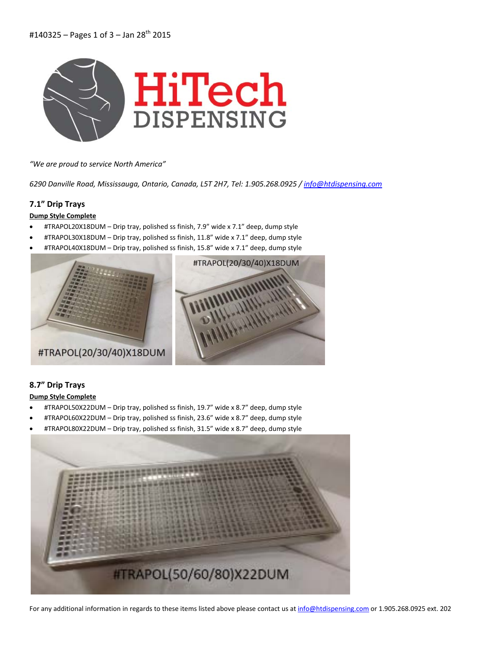

*"We are proud to service North America"*

*6290 Danville Road, Mississauga, Ontario, Canada, L5T 2H7, Tel: 1.905.268.0925 / info@htdispensing.com*

## **7.1" Drip Trays**

**Dump Style Complete**

- #TRAPOL20X18DUM Drip tray, polished ss finish, 7.9" wide x 7.1" deep, dump style
- #TRAPOL30X18DUM Drip tray, polished ss finish, 11.8" wide x 7.1" deep, dump style
- #TRAPOL40X18DUM Drip tray, polished ss finish, 15.8" wide x 7.1" deep, dump style



## **8.7" Drip Trays Dump Style Complete**

- #TRAPOL50X22DUM Drip tray, polished ss finish, 19.7" wide x 8.7" deep, dump style
- #TRAPOL60X22DUM Drip tray, polished ss finish, 23.6" wide x 8.7" deep, dump style
- #TRAPOL80X22DUM Drip tray, polished ss finish, 31.5" wide x 8.7" deep, dump style

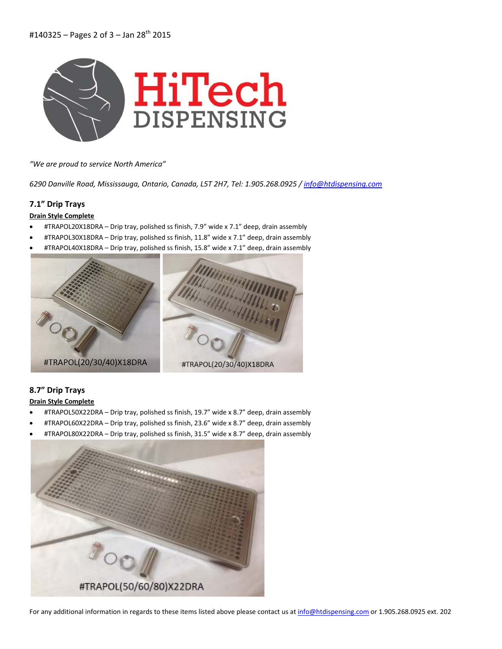

*"We are proud to service North America"*

*6290 Danville Road, Mississauga, Ontario, Canada, L5T 2H7, Tel: 1.905.268.0925 / info@htdispensing.com*

## **7.1" Drip Trays**

### **Drain Style Complete**

- #TRAPOL20X18DRA Drip tray, polished ss finish, 7.9" wide x 7.1" deep, drain assembly
- #TRAPOL30X18DRA Drip tray, polished ss finish, 11.8" wide x 7.1" deep, drain assembly
- #TRAPOL40X18DRA Drip tray, polished ss finish, 15.8" wide x 7.1" deep, drain assembly



# **8.7" Drip Trays**

### **Drain Style Complete**

- #TRAPOL50X22DRA Drip tray, polished ss finish, 19.7" wide x 8.7" deep, drain assembly
- #TRAPOL60X22DRA Drip tray, polished ss finish, 23.6" wide x 8.7" deep, drain assembly
- #TRAPOL80X22DRA Drip tray, polished ss finish, 31.5" wide x 8.7" deep, drain assembly